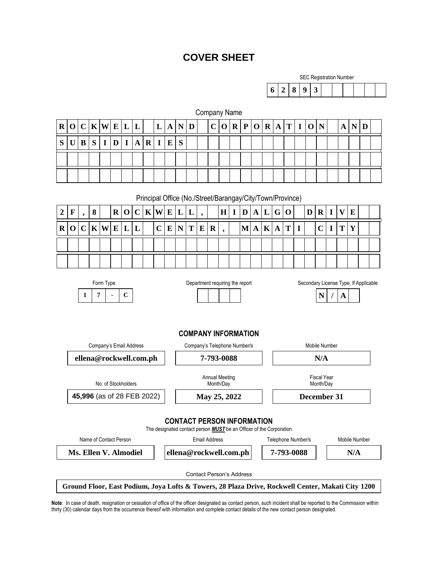# **COVER SHEET**

Company Name

|   | <b>SEC Registration Number</b> |         |  |  |  |  |  |  |  |  |  |  |  |  |  |
|---|--------------------------------|---------|--|--|--|--|--|--|--|--|--|--|--|--|--|
| 6 |                                | 2 8 9 3 |  |  |  |  |  |  |  |  |  |  |  |  |  |

| $\bf R$                        | $\mathbf 0$                                                              | $\mathbf C$              | $\mathbf K$ | W           | ${\bf E}$   | $\mathbf{L}$ | L           |                        | L                    | $\mathbf A$                                   | $\mathbf N$ | D |   | $\mathbf C$ | $\mathbf 0$       | $\mathbf{R}$                        | $\mathbf{P}$                    | $\mathbf 0$ | $\mathbf{R}$ | $\mathbf{A}$                                                               | T           | I | $\mathbf 0$ | $\mathbf N$    |             | A                         | $\mathbf N$                                                                                       | D |  |
|--------------------------------|--------------------------------------------------------------------------|--------------------------|-------------|-------------|-------------|--------------|-------------|------------------------|----------------------|-----------------------------------------------|-------------|---|---|-------------|-------------------|-------------------------------------|---------------------------------|-------------|--------------|----------------------------------------------------------------------------|-------------|---|-------------|----------------|-------------|---------------------------|---------------------------------------------------------------------------------------------------|---|--|
| S                              | $\mathbf U$                                                              | B                        | S           | $\mathbf I$ | D           | $\mathbf I$  | $\mathbf A$ | $\mathbf R$            | $\mathbf I$          | E                                             | S           |   |   |             |                   |                                     |                                 |             |              |                                                                            |             |   |             |                |             |                           |                                                                                                   |   |  |
|                                |                                                                          |                          |             |             |             |              |             |                        |                      |                                               |             |   |   |             |                   |                                     |                                 |             |              |                                                                            |             |   |             |                |             |                           |                                                                                                   |   |  |
|                                |                                                                          |                          |             |             |             |              |             |                        |                      |                                               |             |   |   |             |                   |                                     |                                 |             |              |                                                                            |             |   |             |                |             |                           |                                                                                                   |   |  |
|                                |                                                                          |                          |             |             |             |              |             |                        |                      |                                               |             |   |   |             |                   |                                     |                                 |             |              |                                                                            |             |   |             |                |             |                           |                                                                                                   |   |  |
|                                | Principal Office (No./Street/Barangay/City/Town/Province)                |                          |             |             |             |              |             |                        |                      |                                               |             |   |   |             |                   |                                     |                                 |             |              |                                                                            |             |   |             |                |             |                           |                                                                                                   |   |  |
| $\boldsymbol{2}$               | $\mathbf F$                                                              | $\overline{\phantom{a}}$ | ${\bf 8}$   |             | $\mathbf R$ | $\mathbf 0$  | $\mathbf C$ | $\mathbf K$            | W                    | ${\bf E}$                                     | L           | L |   |             | H                 | $\mathbf I$                         | $\mathbf{D}$                    | $\mathbf A$ | L            | G                                                                          | $\mathbf 0$ |   | D           | $\bf R$        | $\mathbf I$ | $\boldsymbol{\mathrm{V}}$ | E                                                                                                 |   |  |
| $\mathbf R$                    | $\mathbf 0$                                                              | $\mathbf C$              | $\mathbf K$ | W           | E           | L            | L           |                        | $\overline{C}$       | $\bf{E}$                                      | $\mathbf N$ | T | E | $\bf R$     | ٠                 |                                     | $\bf M$                         | A           | $\mathbf K$  | $\mathbf A$                                                                | T           | I |             | $\overline{C}$ | I           | T                         | Y                                                                                                 |   |  |
|                                |                                                                          |                          |             |             |             |              |             |                        |                      |                                               |             |   |   |             |                   |                                     |                                 |             |              |                                                                            |             |   |             |                |             |                           |                                                                                                   |   |  |
|                                |                                                                          |                          |             |             |             |              |             |                        |                      |                                               |             |   |   |             |                   |                                     |                                 |             |              |                                                                            |             |   |             |                |             |                           |                                                                                                   |   |  |
|                                | Department requiring the report<br>Secondary License Type, If Applicable |                          |             |             |             |              |             |                        |                      |                                               |             |   |   |             |                   |                                     |                                 |             |              |                                                                            |             |   |             |                |             |                           |                                                                                                   |   |  |
| Form Type<br>$\bf C$<br>1<br>7 |                                                                          |                          |             |             |             |              |             |                        |                      |                                               |             |   |   |             |                   |                                     | N<br>A                          |             |              |                                                                            |             |   |             |                |             |                           |                                                                                                   |   |  |
|                                |                                                                          |                          |             |             |             |              |             |                        |                      |                                               |             |   |   |             |                   |                                     |                                 |             |              |                                                                            |             |   |             |                |             |                           |                                                                                                   |   |  |
|                                |                                                                          |                          |             |             |             |              |             |                        |                      |                                               |             |   |   |             |                   |                                     |                                 |             |              |                                                                            |             |   |             |                |             |                           |                                                                                                   |   |  |
| <b>COMPANY INFORMATION</b>     |                                                                          |                          |             |             |             |              |             |                        |                      |                                               |             |   |   |             |                   |                                     |                                 |             |              |                                                                            |             |   |             |                |             |                           |                                                                                                   |   |  |
| Company's Email Address        |                                                                          |                          |             |             |             |              |             |                        |                      | Mobile Number<br>Company's Telephone Number/s |             |   |   |             |                   |                                     |                                 |             |              |                                                                            |             |   |             |                |             |                           |                                                                                                   |   |  |
| ellena@rockwell.com.ph         |                                                                          |                          |             |             |             |              |             |                        | 7-793-0088           |                                               |             |   |   |             |                   |                                     |                                 | N/A         |              |                                                                            |             |   |             |                |             |                           |                                                                                                   |   |  |
|                                |                                                                          |                          |             |             |             |              |             |                        |                      | <b>Annual Meeting</b>                         |             |   |   |             |                   |                                     | <b>Fiscal Year</b>              |             |              |                                                                            |             |   |             |                |             |                           |                                                                                                   |   |  |
| No. of Stockholders            |                                                                          |                          |             |             |             |              |             |                        | Month/Day            |                                               |             |   |   |             |                   |                                     |                                 | Month/Day   |              |                                                                            |             |   |             |                |             |                           |                                                                                                   |   |  |
| 45,996 (as of 28 FEB 2022)     |                                                                          |                          |             |             |             |              |             |                        |                      | May 25, 2022                                  |             |   |   |             |                   |                                     |                                 |             | December 31  |                                                                            |             |   |             |                |             |                           |                                                                                                   |   |  |
|                                | <b>CONTACT PERSON INFORMATION</b>                                        |                          |             |             |             |              |             |                        |                      |                                               |             |   |   |             |                   |                                     |                                 |             |              |                                                                            |             |   |             |                |             |                           |                                                                                                   |   |  |
|                                |                                                                          |                          |             |             |             |              |             |                        |                      |                                               |             |   |   |             |                   |                                     |                                 |             |              | The designated contact person <b>MUST</b> be an Officer of the Corporation |             |   |             |                |             |                           |                                                                                                   |   |  |
| Name of Contact Person         |                                                                          |                          |             |             |             |              |             |                        | <b>Email Address</b> |                                               |             |   |   |             |                   | Telephone Number/s<br>Mobile Number |                                 |             |              |                                                                            |             |   |             |                |             |                           |                                                                                                   |   |  |
| Ms. Ellen V. Almodiel          |                                                                          |                          |             |             |             |              |             | ellena@rockwell.com.ph |                      |                                               |             |   |   |             | 7-793-0088<br>N/A |                                     |                                 |             |              |                                                                            |             |   |             |                |             |                           |                                                                                                   |   |  |
|                                |                                                                          |                          |             |             |             |              |             |                        |                      |                                               |             |   |   |             |                   |                                     | <b>Contact Person's Address</b> |             |              |                                                                            |             |   |             |                |             |                           |                                                                                                   |   |  |
|                                |                                                                          |                          |             |             |             |              |             |                        |                      |                                               |             |   |   |             |                   |                                     |                                 |             |              |                                                                            |             |   |             |                |             |                           | Ground Floor, East Podium, Joya Lofts & Towers, 28 Plaza Drive, Rockwell Center, Makati City 1200 |   |  |

**Note**: In case of death, resignation or cessation of office of the officer designated as contact person, such incident shall be reported to the Commission within thirty (30) calendar days from the occurrence thereof with information and complete contact details of the new contact person designated.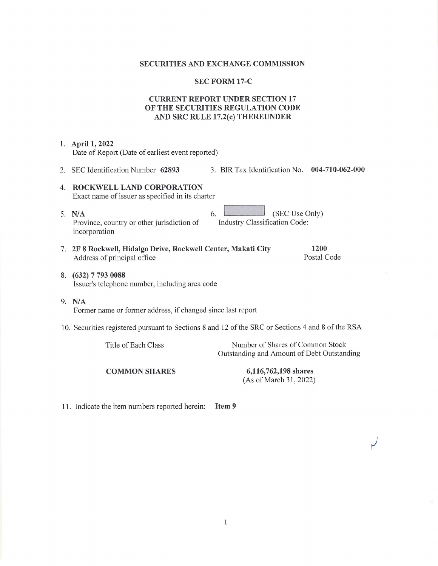#### **SECURITIES AND EXCHANGE COMMISSION**

#### **SEC FORM 17-C**

# **CURRENT REPORT UNDER SECTION 17** OF THE SECURITIES REGULATION CODE AND SRC RULE 17.2(c) THEREUNDER

1. April 1, 2022 Date of Report (Date of earliest event reported) 2. SEC Identification Number 62893 3. BIR Tax Identification No. 004-710-062-000 4. ROCKWELL LAND CORPORATION Exact name of issuer as specified in its charter (SEC Use Only) 5. N/A 6. Industry Classification Code: Province, country or other jurisdiction of incorporation 1200 7. 2F 8 Rockwell, Hidalgo Drive, Rockwell Center, Makati City Address of principal office Postal Code 8. (632) 7 793 0088 Issuer's telephone number, including area code  $9. N/A$ Former name or former address, if changed since last report 10. Securities registered pursuant to Sections 8 and 12 of the SRC or Sections 4 and 8 of the RSA Title of Each Class Number of Shares of Common Stock Outstanding and Amount of Debt Outstanding **COMMON SHARES** 6,116,762,198 shares (As of March 31, 2022)

 $\mathbf{1}$ 

11. Indicate the item numbers reported herein: Item 9